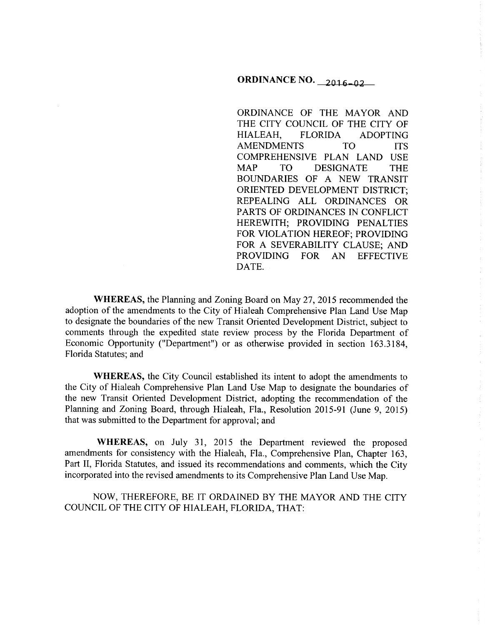# ORDINANCE NO.  $2016 - 02$

ORDINANCE OF THE MAYOR AND THE CITY COUNCIL OF THE CITY OF HIALEAH, FLORIDA ADOPTING AMENDMENTS TO ITS COMPREHENSIVE PLAN LAND USE MAP TO DESIGNATE THE BOUNDARIES OF A NEW TRANSIT ORIENTED DEVELOPMENT DISTRICT; REPEALING ALL ORDINANCES OR PARTS OF ORDINANCES IN CONFLICT HEREWITH; PROVIDING PENALTIES FOR VIOLATION HEREOF; PROVIDING FOR A SEVERABILITY CLAUSE; AND PROVIDING FOR AN EFFECTIVE DATE.

WHEREAS, the Planning and Zoning Board on May 27, 2015 recommended the adoption of the amendments to the City of Hialeah Comprehensive Plan Land Use Map to designate the boundaries of the new Transit Oriented Development District, subject to comments through the expedited state review process by the Florida Department of Economic Opportunity ("Department") or as otherwise provided in section 163.3184, Florida Statutes; and

WHEREAS, the City Council established its intent to adopt the amendments to the City of Hialeah Comprehensive Plan Land Use Map to designate the boundaries of the new Transit Oriented Development District, adopting the recommendation of the Planning and Zoning Board, through Hialeah, Fla., Resolution 2015-91 (June 9, 2015) that was submitted to the Department for approval; and

WHEREAS, on July 31, 2015 the Department reviewed the proposed amendments for consistency with the Hialeah, Fla., Comprehensive Plan, Chapter 163, Part II, Florida Statutes, and issued its recommendations and comments, which the City incorporated into the revised amendments to its Comprehensive Plan Land Use Map.

NOW, THEREFORE, BE IT ORDAINED BY THE MAYOR AND THE CITY COUNCIL OF THE CITY OF HIALEAH, FLORIDA, THAT: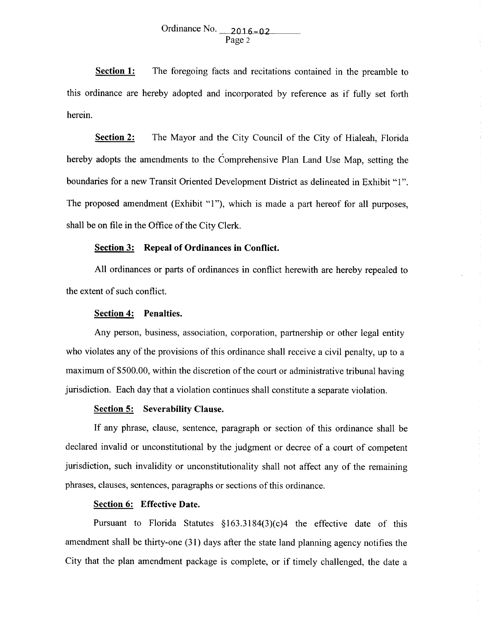# Ordinance No.  $2016 - 02$ Page 2

**Section 1:** The foregoing facts and recitations contained in the preamble to this ordinance are hereby adopted and incorporated by reference as if fully set forth herein.

**<u>Section 2:</u>** The Mayor and the City Council of the City of Hialeah, Florida hereby adopts the amendments to the Comprehensive Plan Land Use Map, setting the boundaries for a new Transit Oriented Development District as delineated in Exhibit "1". The proposed amendment (Exhibit "1"), which is made a part hereof for all purposes, shall be on file in the Office of the City Clerk.

# **Section 3: Repeal of Ordinances in Conflict.**

All ordinances or parts of ordinances in conflict herewith are hereby repealed to the extent of such conflict.

#### **Section 4: Penalties.**

Any person, business, association, corporation, partnership or other legal entity who violates any of the provisions of this ordinance shall receive a civil penalty, up to a maximum of \$500.00, within the discretion of the court or administrative tribunal having jurisdiction. Each day that a violation continues shall constitute a separate violation.

### **Section 5: Severability Clause.**

If any phrase, clause, sentence, paragraph or section of this ordinance shall be declared invalid or unconstitutional by the judgment or decree of a court of competent jurisdiction, such invalidity or unconstitutionality shall not affect any of the remaining phrases, clauses, sentences, paragraphs or sections of this ordinance.

## **Section 6: Effective Date.**

Pursuant to Florida Statutes §163.3184(3)(c)4 the effective date of this amendment shall be thirty-one (31) days after the state land planning agency notifies the City that the plan amendment package is complete, or if timely challenged, the date a